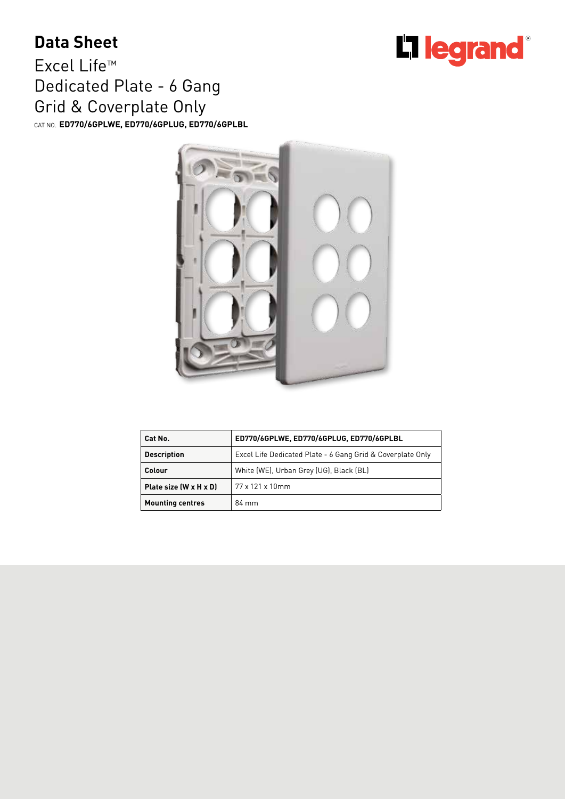## **Data Sheet**

Excel Life™ Dedicated Plate - 6 Gang Grid & Coverplate Only CAT NO. **ED770/6GPLWE, ED770/6GPLUG, ED770/6GPLBL**

 $= 8$ 

**Cat No. ED770/6GPLWE, ED770/6GPLUG, ED770/6GPLBL Description** Excel Life Dedicated Plate - 6 Gang Grid & Coverplate Only **Colour** White (WE), Urban Grey (UG), Black (BL) **Plate size (W x H x D)** 77 x 121 x 10mm **Mounting centres** 84 mm